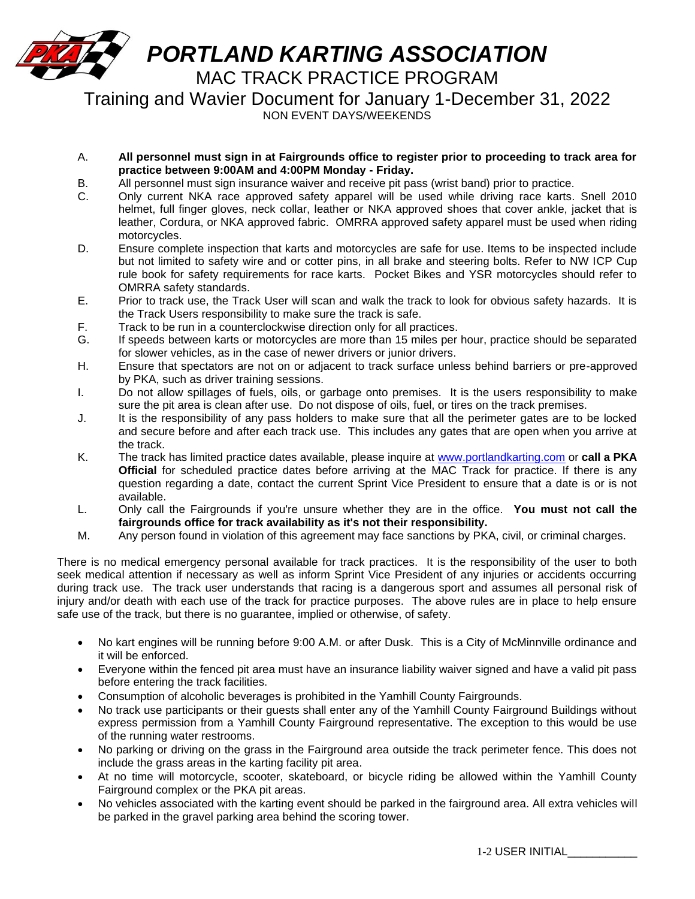

NON EVENT DAYS/WEEKENDS

- A. **All personnel must sign in at Fairgrounds office to register prior to proceeding to track area for practice between 9:00AM and 4:00PM Monday - Friday.**
- B. All personnel must sign insurance waiver and receive pit pass (wrist band) prior to practice.
- C. Only current NKA race approved safety apparel will be used while driving race karts. Snell 2010 helmet, full finger gloves, neck collar, leather or NKA approved shoes that cover ankle, jacket that is leather, Cordura, or NKA approved fabric. OMRRA approved safety apparel must be used when riding motorcycles.
- D. Ensure complete inspection that karts and motorcycles are safe for use. Items to be inspected include but not limited to safety wire and or cotter pins, in all brake and steering bolts. Refer to NW ICP Cup rule book for safety requirements for race karts. Pocket Bikes and YSR motorcycles should refer to OMRRA safety standards.
- E. Prior to track use, the Track User will scan and walk the track to look for obvious safety hazards. It is the Track Users responsibility to make sure the track is safe.
- F. Track to be run in a counterclockwise direction only for all practices.
- G. If speeds between karts or motorcycles are more than 15 miles per hour, practice should be separated for slower vehicles, as in the case of newer drivers or junior drivers.
- H. Ensure that spectators are not on or adjacent to track surface unless behind barriers or pre-approved by PKA, such as driver training sessions.
- I. Do not allow spillages of fuels, oils, or garbage onto premises. It is the users responsibility to make sure the pit area is clean after use. Do not dispose of oils, fuel, or tires on the track premises.
- J. It is the responsibility of any pass holders to make sure that all the perimeter gates are to be locked and secure before and after each track use. This includes any gates that are open when you arrive at the track.
- K. The track has limited practice dates available, please inquire at [www.portlandkarting.com](http://www.portlandkarting.com/) or **call a PKA Official** for scheduled practice dates before arriving at the MAC Track for practice. If there is any question regarding a date, contact the current Sprint Vice President to ensure that a date is or is not available.
- L. Only call the Fairgrounds if you're unsure whether they are in the office. **You must not call the fairgrounds office for track availability as it's not their responsibility.**
- M. Any person found in violation of this agreement may face sanctions by PKA, civil, or criminal charges.

There is no medical emergency personal available for track practices. It is the responsibility of the user to both seek medical attention if necessary as well as inform Sprint Vice President of any injuries or accidents occurring during track use. The track user understands that racing is a dangerous sport and assumes all personal risk of injury and/or death with each use of the track for practice purposes. The above rules are in place to help ensure safe use of the track, but there is no guarantee, implied or otherwise, of safety.

- No kart engines will be running before 9:00 A.M. or after Dusk. This is a City of McMinnville ordinance and it will be enforced.
- Everyone within the fenced pit area must have an insurance liability waiver signed and have a valid pit pass before entering the track facilities.
- Consumption of alcoholic beverages is prohibited in the Yamhill County Fairgrounds.
- No track use participants or their guests shall enter any of the Yamhill County Fairground Buildings without express permission from a Yamhill County Fairground representative. The exception to this would be use of the running water restrooms.
- No parking or driving on the grass in the Fairground area outside the track perimeter fence. This does not include the grass areas in the karting facility pit area.
- At no time will motorcycle, scooter, skateboard, or bicycle riding be allowed within the Yamhill County Fairground complex or the PKA pit areas.
- No vehicles associated with the karting event should be parked in the fairground area. All extra vehicles will be parked in the gravel parking area behind the scoring tower.